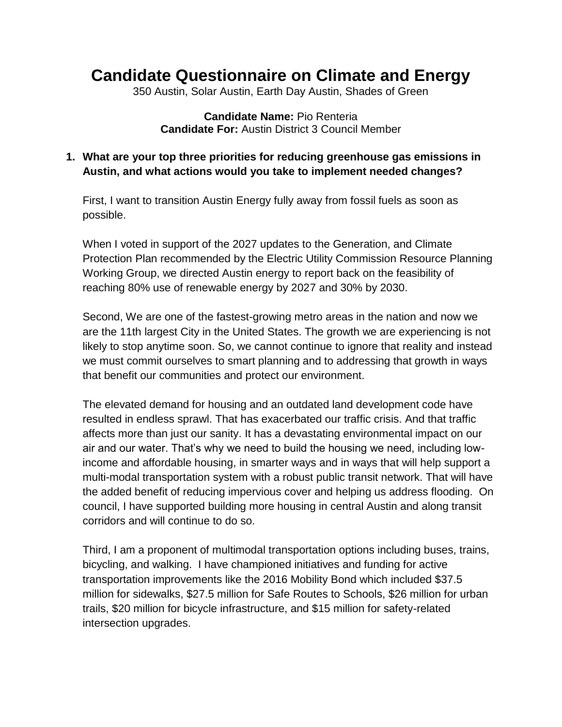## **Candidate Questionnaire on Climate and Energy**

350 Austin, Solar Austin, Earth Day Austin, Shades of Green

**Candidate Name:** Pio Renteria **Candidate For:** Austin District 3 Council Member

## **1. What are your top three priorities for reducing greenhouse gas emissions in Austin, and what actions would you take to implement needed changes?**

First, I want to transition Austin Energy fully away from fossil fuels as soon as possible.

When I voted in support of the 2027 updates to the Generation, and Climate Protection Plan recommended by the Electric Utility Commission Resource Planning Working Group, we directed Austin energy to report back on the feasibility of reaching 80% use of renewable energy by 2027 and 30% by 2030.

Second, We are one of the fastest-growing metro areas in the nation and now we are the 11th largest City in the United States. The growth we are experiencing is not likely to stop anytime soon. So, we cannot continue to ignore that reality and instead we must commit ourselves to smart planning and to addressing that growth in ways that benefit our communities and protect our environment.

The elevated demand for housing and an outdated land development code have resulted in endless sprawl. That has exacerbated our traffic crisis. And that traffic affects more than just our sanity. It has a devastating environmental impact on our air and our water. That's why we need to build the housing we need, including lowincome and affordable housing, in smarter ways and in ways that will help support a multi-modal transportation system with a robust public transit network. That will have the added benefit of reducing impervious cover and helping us address flooding. On council, I have supported building more housing in central Austin and along transit corridors and will continue to do so.

Third, I am a proponent of multimodal transportation options including buses, trains, bicycling, and walking. I have championed initiatives and funding for active transportation improvements like the 2016 Mobility Bond which included \$37.5 million for sidewalks, \$27.5 million for Safe Routes to Schools, \$26 million for urban trails, \$20 million for bicycle infrastructure, and \$15 million for safety-related intersection upgrades.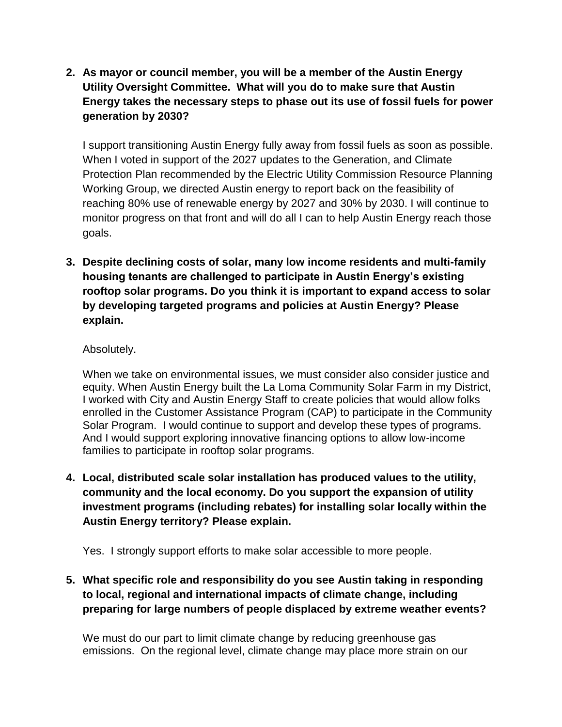**2. As mayor or council member, you will be a member of the Austin Energy Utility Oversight Committee. What will you do to make sure that Austin Energy takes the necessary steps to phase out its use of fossil fuels for power generation by 2030?**

I support transitioning Austin Energy fully away from fossil fuels as soon as possible. When I voted in support of the 2027 updates to the Generation, and Climate Protection Plan recommended by the Electric Utility Commission Resource Planning Working Group, we directed Austin energy to report back on the feasibility of reaching 80% use of renewable energy by 2027 and 30% by 2030. I will continue to monitor progress on that front and will do all I can to help Austin Energy reach those goals.

**3. Despite declining costs of solar, many low income residents and multi-family housing tenants are challenged to participate in Austin Energy's existing rooftop solar programs. Do you think it is important to expand access to solar by developing targeted programs and policies at Austin Energy? Please explain.**

## Absolutely.

When we take on environmental issues, we must consider also consider justice and equity. When Austin Energy built the La Loma Community Solar Farm in my District, I worked with City and Austin Energy Staff to create policies that would allow folks enrolled in the Customer Assistance Program (CAP) to participate in the Community Solar Program. I would continue to support and develop these types of programs. And I would support exploring innovative financing options to allow low-income families to participate in rooftop solar programs.

**4. Local, distributed scale solar installation has produced values to the utility, community and the local economy. Do you support the expansion of utility investment programs (including rebates) for installing solar locally within the Austin Energy territory? Please explain.**

Yes. I strongly support efforts to make solar accessible to more people.

**5. What specific role and responsibility do you see Austin taking in responding to local, regional and international impacts of climate change, including preparing for large numbers of people displaced by extreme weather events?**

We must do our part to limit climate change by reducing greenhouse gas emissions. On the regional level, climate change may place more strain on our